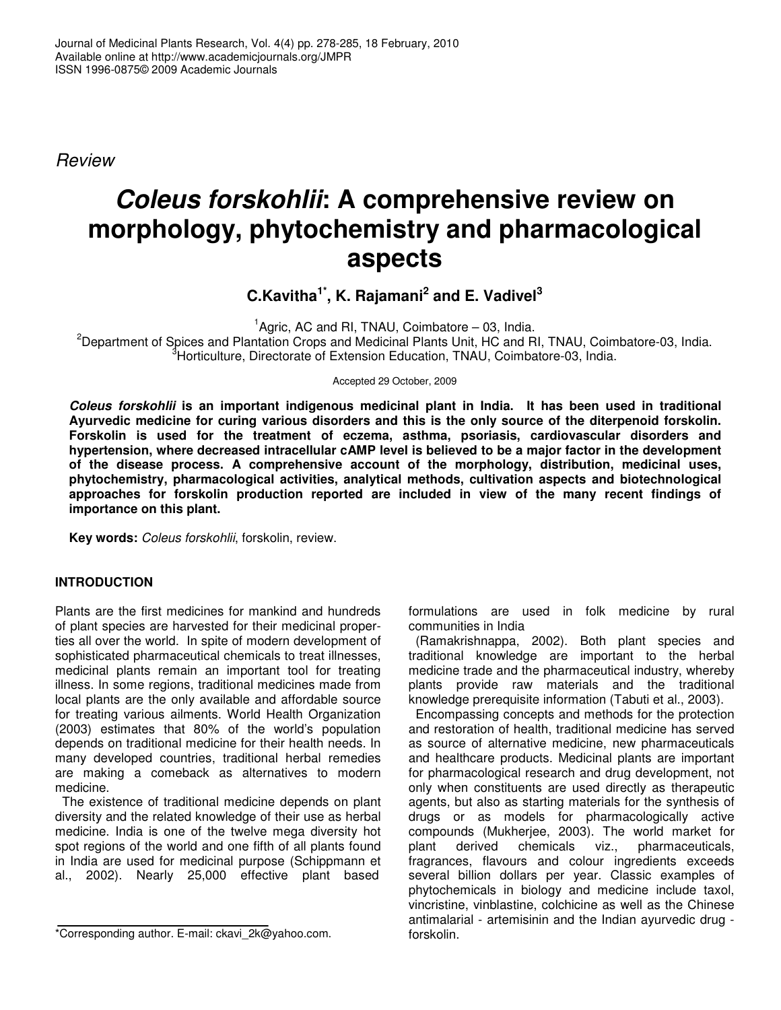*Review*

# *Coleus forskohlii***: A comprehensive review on morphology, phytochemistry and pharmacological aspects**

**C.Kavitha 1\* , K. Rajamani 2 and E. Vadivel 3**

<sup>1</sup>Agric, AC and RI, TNAU, Coimbatore - 03, India.  $2$ Department of Spices and Plantation Crops and Medicinal Plants Unit, HC and RI, TNAU, Coimbatore-03, India. <sup>3</sup>Horticulture, Directorate of Extension Education, TNAU, Coimbatore-03, India.

Accepted 29 October, 2009

*Coleus forskohlii* **is an important indigenous medicinal plant in India. It has been used in traditional Ayurvedic medicine for curing various disorders and this is the only source of the diterpenoid forskolin. Forskolin is used for the treatment of eczema, asthma, psoriasis, cardiovascular disorders and hypertension, where decreased intracellular cAMP level is believed to be a major factor in the development of the disease process. A comprehensive account of the morphology, distribution, medicinal uses, phytochemistry, pharmacological activities, analytical methods, cultivation aspects and biotechnological approaches for forskolin production reported are included in view of the many recent findings of importance on this plant.**

**Key words:** *Coleus forskohlii*, forskolin, review.

# **INTRODUCTION**

Plants are the first medicines for mankind and hundreds of plant species are harvested for their medicinal properties all over the world. In spite of modern development of sophisticated pharmaceutical chemicals to treat illnesses, medicinal plants remain an important tool for treating illness. In some regions, traditional medicines made from local plants are the only available and affordable source for treating various ailments. World Health Organization (2003) estimates that 80% of the world's population depends on traditional medicine for their health needs. In many developed countries, traditional herbal remedies are making a comeback as alternatives to modern medicine.

The existence of traditional medicine depends on plant diversity and the related knowledge of their use as herbal medicine. India is one of the twelve mega diversity hot spot regions of the world and one fifth of all plants found in India are used for medicinal purpose (Schippmann et al., 2002). Nearly 25,000 effective plant based

formulations are used in folk medicine by rural communities in India

(Ramakrishnappa, 2002). Both plant species and traditional knowledge are important to the herbal medicine trade and the pharmaceutical industry, whereby plants provide raw materials and the traditional knowledge prerequisite information (Tabuti et al., 2003).

Encompassing concepts and methods for the protection and restoration of health, traditional medicine has served as source of alternative medicine, new pharmaceuticals and healthcare products. Medicinal plants are important for pharmacological research and drug development, not only when constituents are used directly as therapeutic agents, but also as starting materials for the synthesis of drugs or as models for pharmacologically active compounds (Mukherjee, 2003). The world market for derived chemicals viz., pharmaceuticals, fragrances, flavours and colour ingredients exceeds several billion dollars per year. Classic examples of phytochemicals in biology and medicine include taxol, vincristine, vinblastine, colchicine as well as the Chinese antimalarial - artemisinin and the Indian ayurvedic drug forskolin.

<sup>\*</sup>Corresponding author. E-mail: ckavi\_2k@yahoo.com.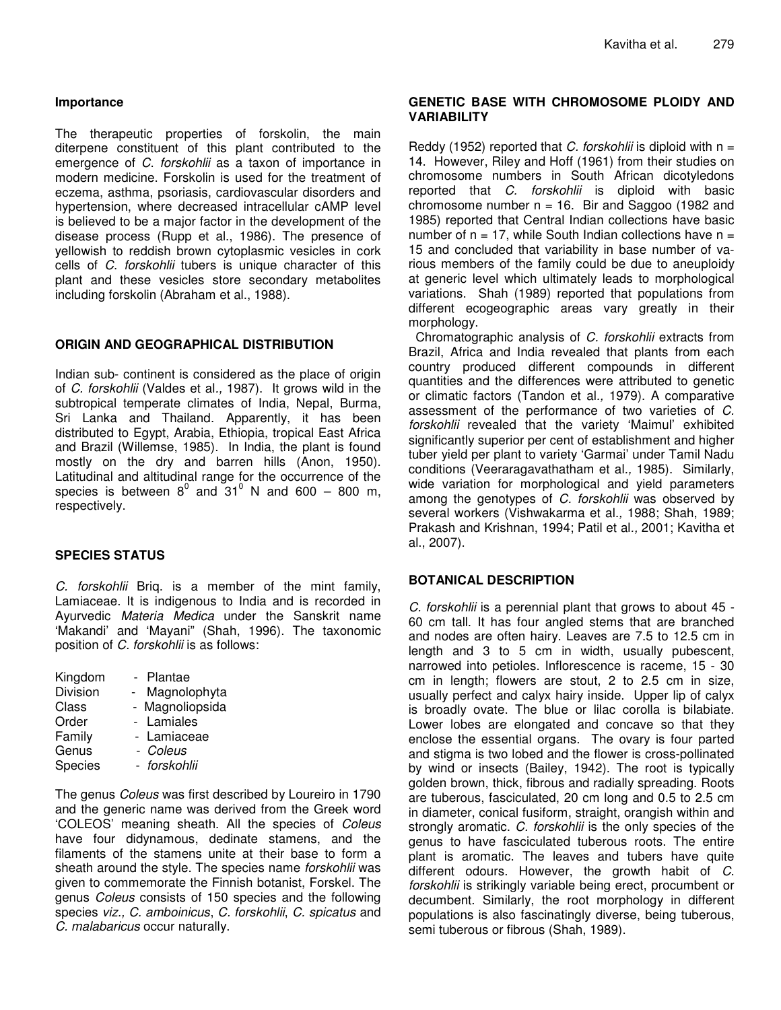## **Importance**

The therapeutic properties of forskolin, the main diterpene constituent of this plant contributed to the emergence of *C*. *forskohlii* as a taxon of importance in modern medicine. Forskolin is used for the treatment of eczema, asthma, psoriasis, cardiovascular disorders and hypertension, where decreased intracellular cAMP level is believed to be a major factor in the development of the disease process (Rupp et al., 1986). The presence of yellowish to reddish brown cytoplasmic vesicles in cork cells of *C*. *forskohlii* tubers is unique character of this plant and these vesicles store secondary metabolites including forskolin (Abraham et al., 1988).

## **ORIGIN AND GEOGRAPHICAL DISTRIBUTION**

Indian sub- continent is considered as the place of origin of *C. forskohlii* (Valdes et al*.,* 1987). It grows wild in the subtropical temperate climates of India, Nepal, Burma, Sri Lanka and Thailand. Apparently, it has been distributed to Egypt, Arabia, Ethiopia, tropical East Africa and Brazil (Willemse, 1985). In India, the plant is found mostly on the dry and barren hills (Anon, 1950). Latitudinal and altitudinal range for the occurrence of the species is between  $8^0$  and  $31^0$  N and 600 – 800 m, respectively.

## **SPECIES STATUS**

*C. forskohlii* Briq. is a member of the mint family, Lamiaceae. It is indigenous to India and is recorded in Ayurvedic *Materia Medica* under the Sanskrit name 'Makandi' and 'Mayani" (Shah, 1996). The taxonomic position of *C. forskohlii* is as follows:

| Kingdom        | Plantae       |
|----------------|---------------|
| Division       | Magnolophyta  |
| Class          | Magnoliopsida |
| Order          | - Lamiales    |
| Family         | - Lamiaceae   |
| Genus          | - Coleus      |
| <b>Species</b> | - forskohlii  |
|                |               |

The genus *Coleus* was first described by Loureiro in 1790 and the generic name was derived from the Greek word 'COLEOS' meaning sheath. All the species of *Coleus* have four didynamous, dedinate stamens, and the filaments of the stamens unite at their base to form a sheath around the style. The species name *forskohlii* was given to commemorate the Finnish botanist, Forskel. The genus *Coleus* consists of 150 species and the following species *viz., C. amboinicus*, *C. forskohlii*, *C. spicatus* and *C. malabaricus* occur naturally.

## **GENETIC BASE WITH CHROMOSOME PLOIDY AND VARIABILITY**

Reddy (1952) reported that *C. forskohlii* is diploid with n = 14. However, Riley and Hoff (1961) from their studies on chromosome numbers in South African dicotyledons reported that *C. forskohlii* is diploid with basic chromosome number  $n = 16$ . Bir and Saggoo (1982 and 1985) reported that Central Indian collections have basic number of  $n = 17$ , while South Indian collections have  $n =$ 15 and concluded that variability in base number of various members of the family could be due to aneuploidy at generic level which ultimately leads to morphological variations. Shah (1989) reported that populations from different ecogeographic areas vary greatly in their morphology.

Chromatographic analysis of *C. forskohlii* extracts from Brazil, Africa and India revealed that plants from each country produced different compounds in different quantities and the differences were attributed to genetic or climatic factors (Tandon et al*.,* 1979). A comparative assessment of the performance of two varieties of *C. forskohlii* revealed that the variety 'Maimul' exhibited significantly superior per cent of establishment and higher tuber yield per plant to variety 'Garmai' under Tamil Nadu conditions (Veeraragavathatham et al*.,* 1985). Similarly, wide variation for morphological and yield parameters among the genotypes of *C. forskohlii* was observed by several workers (Vishwakarma et al*.,* 1988; Shah, 1989; Prakash and Krishnan, 1994; Patil et al*.,* 2001; Kavitha et al., 2007).

# **BOTANICAL DESCRIPTION**

*C. forskohlii* is a perennial plant that grows to about 45 - 60 cm tall. It has four angled stems that are branched and nodes are often hairy. Leaves are 7.5 to 12.5 cm in length and 3 to 5 cm in width, usually pubescent, narrowed into petioles. Inflorescence is raceme, 15 - 30 cm in length; flowers are stout, 2 to 2.5 cm in size, usually perfect and calyx hairy inside. Upper lip of calyx is broadly ovate. The blue or lilac corolla is bilabiate. Lower lobes are elongated and concave so that they enclose the essential organs. The ovary is four parted and stigma is two lobed and the flower is cross-pollinated by wind or insects (Bailey, 1942). The root is typically golden brown, thick, fibrous and radially spreading. Roots are tuberous, fasciculated, 20 cm long and 0.5 to 2.5 cm in diameter, conical fusiform, straight, orangish within and strongly aromatic. *C. forskohlii* is the only species of the genus to have fasciculated tuberous roots. The entire plant is aromatic. The leaves and tubers have quite different odours. However, the growth habit of *C*. *forskohlii* is strikingly variable being erect, procumbent or decumbent. Similarly, the root morphology in different populations is also fascinatingly diverse, being tuberous, semi tuberous or fibrous (Shah, 1989).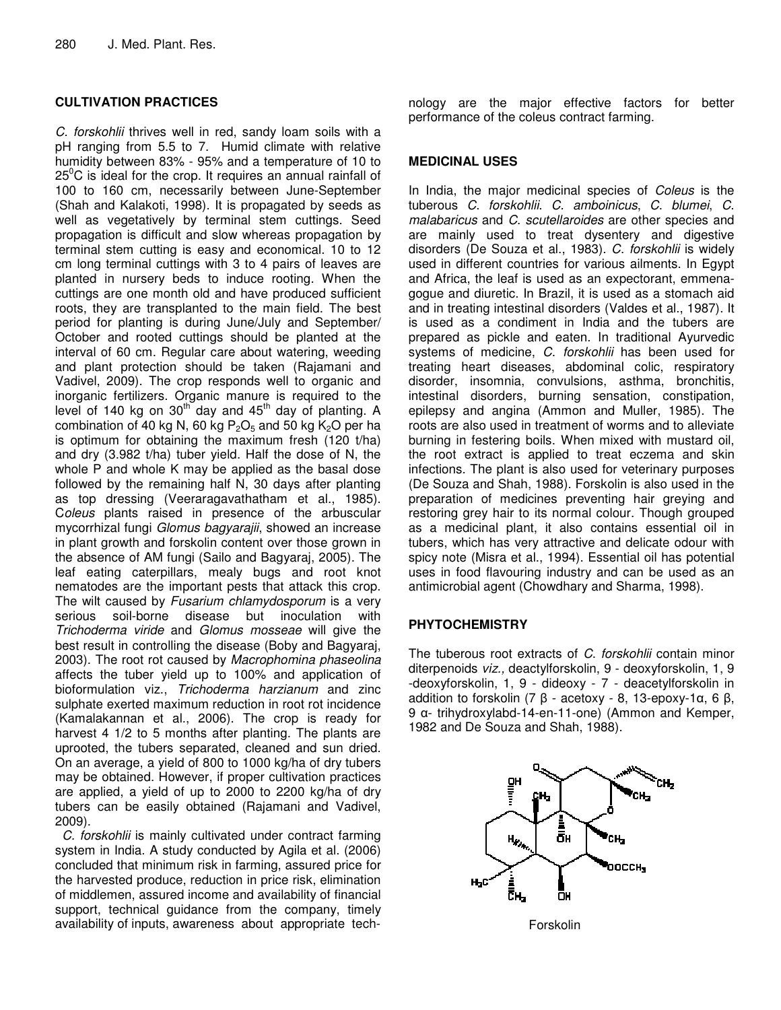# **CULTIVATION PRACTICES**

*C. forskohlii* thrives well in red, sandy loam soils with a pH ranging from 5.5 to 7. Humid climate with relative humidity between 83% - 95% and a temperature of 10 to  $25^{\circ}$ C is ideal for the crop. It requires an annual rainfall of 100 to 160 cm, necessarily between June-September (Shah and Kalakoti, 1998). It is propagated by seeds as well as vegetatively by terminal stem cuttings. Seed propagation is difficult and slow whereas propagation by terminal stem cutting is easy and economical. 10 to 12 cm long terminal cuttings with 3 to 4 pairs of leaves are planted in nursery beds to induce rooting. When the cuttings are one month old and have produced sufficient roots, they are transplanted to the main field. The best period for planting is during June/July and September/ October and rooted cuttings should be planted at the interval of 60 cm. Regular care about watering, weeding and plant protection should be taken (Rajamani and Vadivel, 2009). The crop responds well to organic and inorganic fertilizers. Organic manure is required to the level of 140 kg on  $30^{\text{th}}$  day and  $45^{\text{th}}$  day of planting. A combination of 40 kg N, 60 kg  $P_2O_5$  and 50 kg  $K_2O$  per ha is optimum for obtaining the maximum fresh (120 t/ha) and dry (3.982 t/ha) tuber yield. Half the dose of N, the whole P and whole K may be applied as the basal dose followed by the remaining half N, 30 days after planting as top dressing (Veeraragavathatham et al., 1985). C*oleus* plants raised in presence of the arbuscular mycorrhizal fungi *Glomus bagyarajii*, showed an increase in plant growth and forskolin content over those grown in the absence of AM fungi (Sailo and Bagyaraj, 2005). The leaf eating caterpillars, mealy bugs and root knot nematodes are the important pests that attack this crop. The wilt caused by *Fusarium chlamydosporum* is a very serious soil-borne disease but inoculation with *Trichoderma viride* and *Glomus mosseae* will give the best result in controlling the disease (Boby and Bagyaraj, 2003). The root rot caused by *Macrophomina phaseolina* affects the tuber yield up to 100% and application of bioformulation viz., *Trichoderma harzianum* and zinc sulphate exerted maximum reduction in root rot incidence (Kamalakannan et al., 2006). The crop is ready for harvest 4 1/2 to 5 months after planting. The plants are uprooted, the tubers separated, cleaned and sun dried. On an average, a yield of 800 to 1000 kg/ha of dry tubers may be obtained. However, if proper cultivation practices are applied, a yield of up to 2000 to 2200 kg/ha of dry tubers can be easily obtained (Rajamani and Vadivel, 2009).

*C. forskohlii* is mainly cultivated under contract farming system in India. A study conducted by Agila et al. (2006) concluded that minimum risk in farming, assured price for the harvested produce, reduction in price risk, elimination of middlemen, assured income and availability of financial support, technical guidance from the company, timely availability of inputs, awareness about appropriate tech-

nology are the major effective factors for better performance of the coleus contract farming.

## **MEDICINAL USES**

In India, the major medicinal species of *Coleus* is the tuberous *C*. *forskohlii*. *C. amboinicus*, *C*. *blumei*, *C*. *malabaricus* and *C*. *scutellaroides* are other species and are mainly used to treat dysentery and digestive disorders (De Souza et al., 1983). *C*. *forskohlii* is widely used in different countries for various ailments. In Egypt and Africa, the leaf is used as an expectorant, emmenagogue and diuretic. In Brazil, it is used as a stomach aid and in treating intestinal disorders (Valdes et al., 1987). It is used as a condiment in India and the tubers are prepared as pickle and eaten. In traditional Ayurvedic systems of medicine, *C*. *forskohlii* has been used for treating heart diseases, abdominal colic, respiratory disorder, insomnia, convulsions, asthma, bronchitis, intestinal disorders, burning sensation, constipation, epilepsy and angina (Ammon and Muller, 1985). The roots are also used in treatment of worms and to alleviate burning in festering boils. When mixed with mustard oil, the root extract is applied to treat eczema and skin infections. The plant is also used for veterinary purposes (De Souza and Shah, 1988). Forskolin is also used in the preparation of medicines preventing hair greying and restoring grey hair to its normal colour. Though grouped as a medicinal plant, it also contains essential oil in tubers, which has very attractive and delicate odour with spicy note (Misra et al., 1994). Essential oil has potential uses in food flavouring industry and can be used as an antimicrobial agent (Chowdhary and Sharma, 1998).

# **PHYTOCHEMISTRY**

The tuberous root extracts of *C*. *forskohlii* contain minor diterpenoids *viz.,* deactylforskolin, 9 - deoxyforskolin, 1, 9 -deoxyforskolin, 1, 9 - dideoxy - 7 - deacetylforskolin in addition to forskolin (7  $\beta$  - acetoxy - 8, 13-epoxy-1 $\alpha$ , 6  $\beta$ , 9 α- trihydroxylabd-14-en-11-one) (Ammon and Kemper, 1982 and De Souza and Shah, 1988).



Forskolin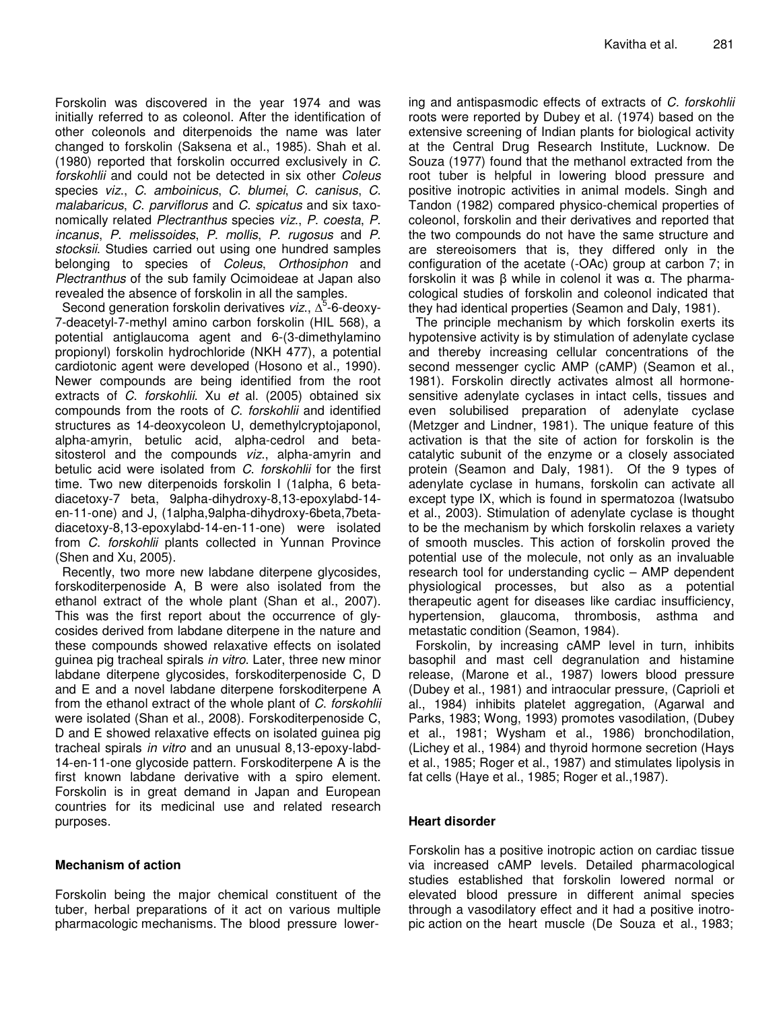Forskolin was discovered in the year 1974 and was initially referred to as coleonol. After the identification of other coleonols and diterpenoids the name was later changed to forskolin (Saksena et al*.*, 1985). Shah et al*.* (1980) reported that forskolin occurred exclusively in *C. forskohlii* and could not be detected in six other *Coleus* species *viz*., *C*. *amboinicus*, *C*. *blumei*, *C*. *canisus*, *C*. *malabaricus*, *C*. *parviflorus* and *C*. *spicatus* and six taxonomically related *Plectranthus* species *viz*., *P*. *coesta*, *P*. *incanus*, *P*. *melissoides*, *P*. *mollis*, *P*. *rugosus* and *P*. *stocksii*. Studies carried out using one hundred samples belonging to species of *Coleus*, *Orthosiphon* and *Plectranthus* of the sub family Ocimoideae at Japan also revealed the absence of forskolin in all the samples.

Second generation forskolin derivatives viz.,  $\Delta^5$ -6-deoxy-7-deacetyl-7-methyl amino carbon forskolin (HIL 568), a potential antiglaucoma agent and 6-(3-dimethylamino propionyl) forskolin hydrochloride (NKH 477), a potential cardiotonic agent were developed (Hosono et al*.,* 1990). Newer compounds are being identified from the root extracts of *C*. *forskohlii*. Xu *et* al. (2005) obtained six compounds from the roots of *C*. *forskohlii* and identified structures as 14-deoxycoleon U, demethylcryptojaponol, alpha-amyrin, betulic acid, alpha-cedrol and betasitosterol and the compounds *viz*., alpha-amyrin and betulic acid were isolated from *C*. *forskohlii* for the first time. Two new diterpenoids forskolin I (1alpha, 6 betadiacetoxy-7 beta, 9alpha-dihydroxy-8,13-epoxylabd-14 en-11-one) and J, (1alpha,9alpha-dihydroxy-6beta,7betadiacetoxy-8,13-epoxylabd-14-en-11-one) were isolated from *C*. *forskohlii* plants collected in Yunnan Province (Shen and Xu, 2005).

Recently, two more new labdane diterpene glycosides, forskoditerpenoside A, B were also isolated from the ethanol extract of the whole plant (Shan et al., 2007). This was the first report about the occurrence of glycosides derived from labdane diterpene in the nature and these compounds showed relaxative effects on isolated guinea pig tracheal spirals *in vitro*. Later, three new minor labdane diterpene glycosides, forskoditerpenoside C, D and E and a novel labdane diterpene forskoditerpene A from the ethanol extract of the whole plant of *C*. *forskohlii* were isolated (Shan et al., 2008). Forskoditerpenoside C, D and E showed relaxative effects on isolated guinea pig tracheal spirals *in vitro* and an unusual 8,13-epoxy-labd-14-en-11-one glycoside pattern. Forskoditerpene A is the first known labdane derivative with a spiro element. Forskolin is in great demand in Japan and European countries for its medicinal use and related research purposes.

## **Mechanism of action**

Forskolin being the major chemical constituent of the tuber, herbal preparations of it act on various multiple pharmacologic mechanisms. The blood pressure lowering and antispasmodic effects of extracts of *C. forskohlii* roots were reported by Dubey et al*.* (1974) based on the extensive screening of Indian plants for biological activity at the Central Drug Research Institute, Lucknow. De Souza (1977) found that the methanol extracted from the root tuber is helpful in lowering blood pressure and positive inotropic activities in animal models. Singh and Tandon (1982) compared physico-chemical properties of coleonol, forskolin and their derivatives and reported that the two compounds do not have the same structure and are stereoisomers that is, they differed only in the configuration of the acetate (-OAc) group at carbon 7; in forskolin it was  $\beta$  while in colenol it was  $\alpha$ . The pharmacological studies of forskolin and coleonol indicated that they had identical properties (Seamon and Daly, 1981).

The principle mechanism by which forskolin exerts its hypotensive activity is by stimulation of adenylate cyclase and thereby increasing cellular concentrations of the second messenger cyclic AMP (cAMP) (Seamon et al., 1981). Forskolin directly activates almost all hormonesensitive adenylate cyclases in intact cells, tissues and even solubilised preparation of adenylate cyclase (Metzger and Lindner, 1981). The unique feature of this activation is that the site of action for forskolin is the catalytic subunit of the enzyme or a closely associated protein (Seamon and Daly, 1981). Of the 9 types of adenylate cyclase in humans, forskolin can activate all except type IX, which is found in spermatozoa (Iwatsubo et al., 2003). Stimulation of adenylate cyclase is thought to be the mechanism by which forskolin relaxes a variety of smooth muscles. This action of forskolin proved the potential use of the molecule, not only as an invaluable research tool for understanding cyclic – AMP dependent physiological processes, but also as a potential therapeutic agent for diseases like cardiac insufficiency, hypertension, glaucoma, thrombosis, asthma and metastatic condition (Seamon, 1984).

Forskolin, by increasing cAMP level in turn, inhibits basophil and mast cell degranulation and histamine release, (Marone et al., 1987) lowers blood pressure (Dubey et al., 1981) and intraocular pressure, (Caprioli et al., 1984) inhibits platelet aggregation, (Agarwal and Parks, 1983; Wong, 1993) promotes vasodilation, (Dubey et al., 1981; Wysham et al., 1986) bronchodilation, (Lichey et al., 1984) and thyroid hormone secretion (Hays et al., 1985; Roger et al., 1987) and stimulates lipolysis in fat cells (Haye et al., 1985; Roger et al.,1987).

# **Heart disorder**

Forskolin has a positive inotropic action on cardiac tissue via increased cAMP levels. Detailed pharmacological studies established that forskolin lowered normal or elevated blood pressure in different animal species through a vasodilatory effect and it had a positive inotropic action on the heart muscle (De Souza et al., 1983;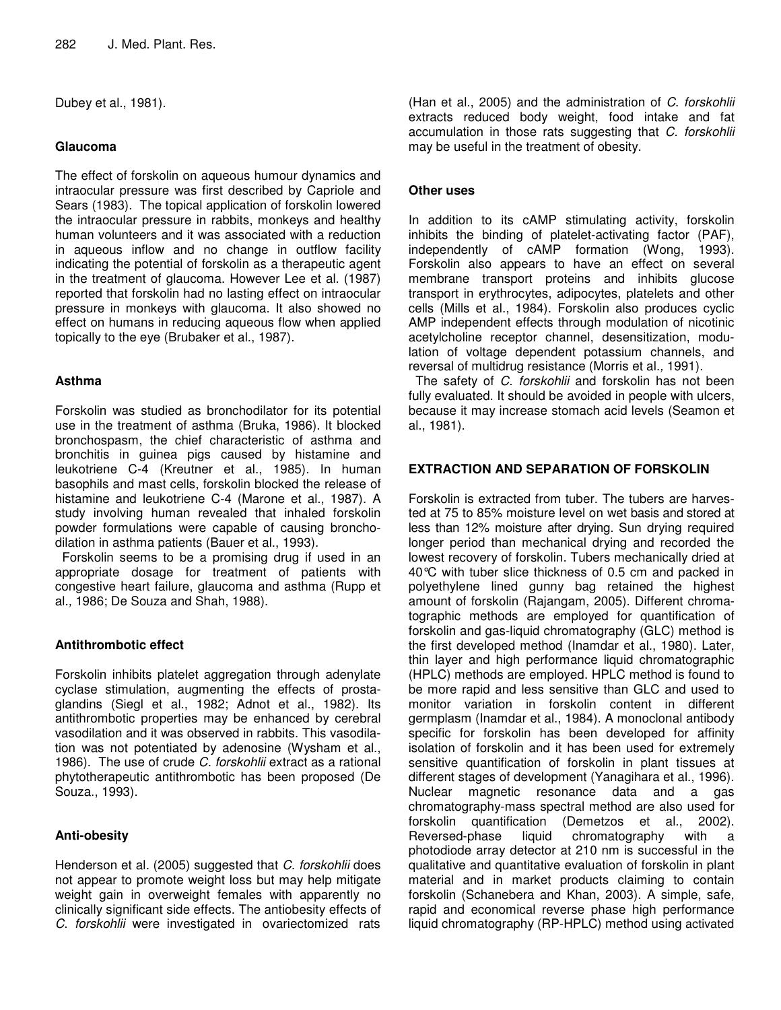Dubey et al., 1981).

## **Glaucoma**

The effect of forskolin on aqueous humour dynamics and intraocular pressure was first described by Capriole and Sears (1983). The topical application of forskolin lowered the intraocular pressure in rabbits, monkeys and healthy human volunteers and it was associated with a reduction in aqueous inflow and no change in outflow facility indicating the potential of forskolin as a therapeutic agent in the treatment of glaucoma. However Lee et al. (1987) reported that forskolin had no lasting effect on intraocular pressure in monkeys with glaucoma. It also showed no effect on humans in reducing aqueous flow when applied topically to the eye (Brubaker et al., 1987).

# **Asthma**

Forskolin was studied as bronchodilator for its potential use in the treatment of asthma (Bruka, 1986). It blocked bronchospasm, the chief characteristic of asthma and bronchitis in guinea pigs caused by histamine and leukotriene C-4 (Kreutner et al., 1985). In human basophils and mast cells, forskolin blocked the release of histamine and leukotriene C-4 (Marone et al., 1987). A study involving human revealed that inhaled forskolin powder formulations were capable of causing bronchodilation in asthma patients (Bauer et al., 1993).

Forskolin seems to be a promising drug if used in an appropriate dosage for treatment of patients with congestive heart failure, glaucoma and asthma (Rupp et al*.,* 1986; De Souza and Shah, 1988).

# **Antithrombotic effect**

Forskolin inhibits platelet aggregation through adenylate cyclase stimulation, augmenting the effects of prostaglandins (Siegl et al., 1982; Adnot et al., 1982). Its antithrombotic properties may be enhanced by cerebral vasodilation and it was observed in rabbits. This vasodilation was not potentiated by adenosine (Wysham et al., 1986). The use of crude *C. forskohlii* extract as a rational phytotherapeutic antithrombotic has been proposed (De Souza., 1993).

# **Anti-obesity**

Henderson et al*.* (2005) suggested that *C. forskohlii* does not appear to promote weight loss but may help mitigate weight gain in overweight females with apparently no clinically significant side effects. The antiobesity effects of *C*. *forskohlii* were investigated in ovariectomized rats

(Han et al., 2005) and the administration of *C*. *forskohlii* extracts reduced body weight, food intake and fat accumulation in those rats suggesting that *C*. *forskohlii* may be useful in the treatment of obesity.

## **Other uses**

In addition to its cAMP stimulating activity, forskolin inhibits the binding of platelet-activating factor (PAF), independently of cAMP formation (Wong, 1993). Forskolin also appears to have an effect on several membrane transport proteins and inhibits glucose transport in erythrocytes, adipocytes, platelets and other cells (Mills et al., 1984). Forskolin also produces cyclic AMP independent effects through modulation of nicotinic acetylcholine receptor channel, desensitization, modulation of voltage dependent potassium channels, and reversal of multidrug resistance (Morris et al*.,* 1991).

The safety of *C*. *forskohlii* and forskolin has not been fully evaluated. It should be avoided in people with ulcers, because it may increase stomach acid levels (Seamon et al., 1981).

# **EXTRACTION AND SEPARATION OF FORSKOLIN**

Forskolin is extracted from tuber. The tubers are harvested at 75 to 85% moisture level on wet basis and stored at less than 12% moisture after drying. Sun drying required longer period than mechanical drying and recorded the lowest recovery of forskolin. Tubers mechanically dried at 40°C with tuber slice thickness of 0.5 cm and packed in polyethylene lined gunny bag retained the highest amount of forskolin (Rajangam, 2005). Different chromatographic methods are employed for quantification of forskolin and gas-liquid chromatography (GLC) method is the first developed method (Inamdar et al., 1980). Later, thin layer and high performance liquid chromatographic (HPLC) methods are employed. HPLC method is found to be more rapid and less sensitive than GLC and used to monitor variation in forskolin content in different germplasm (Inamdar et al., 1984). A monoclonal antibody specific for forskolin has been developed for affinity isolation of forskolin and it has been used for extremely sensitive quantification of forskolin in plant tissues at different stages of development (Yanagihara et al., 1996). Nuclear magnetic resonance data and a gas chromatography-mass spectral method are also used for forskolin quantification (Demetzos et al., 2002). Reversed-phase liquid chromatography with a photodiode array detector at 210 nm is successful in the qualitative and quantitative evaluation of forskolin in plant material and in market products claiming to contain forskolin (Schanebera and Khan, 2003). A simple, safe, rapid and economical reverse phase high performance liquid chromatography (RP-HPLC) method using activated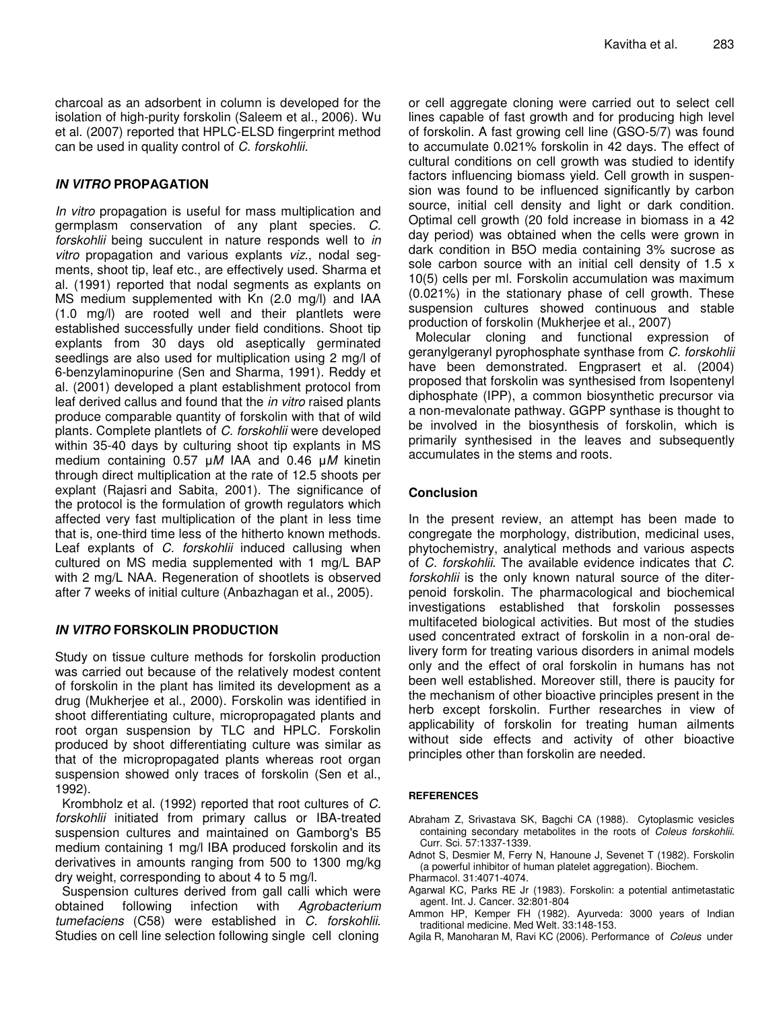charcoal as an adsorbent in column is developed for the isolation of high-purity forskolin (Saleem et al., 2006). Wu et al. (2007) reported that HPLC-ELSD fingerprint method can be used in quality control of *C*. *forskohlii.*

## *IN VITRO* **PROPAGATION**

*In vitro* propagation is useful for mass multiplication and germplasm conservation of any plant species. *C. forskohlii* being succulent in nature responds well to *in vitro* propagation and various explants *viz*., nodal segments, shoot tip, leaf etc., are effectively used. Sharma et al. (1991) reported that nodal segments as explants on MS medium supplemented with Kn (2.0 mg/l) and IAA (1.0 mg/l) are rooted well and their plantlets were established successfully under field conditions. Shoot tip explants from 30 days old aseptically germinated seedlings are also used for multiplication using 2 mg/l of 6-benzylaminopurine (Sen and Sharma, 1991). Reddy et al*.* (2001) developed a plant establishment protocol from leaf derived callus and found that the *in vitro* raised plants produce comparable quantity of forskolin with that of wild plants. Complete plantlets of *C. forskohlii* were developed within 35-40 days by culturing shoot tip explants in MS medium containing 0.57 *M* IAA and 0.46 *M* kinetin through direct multiplication at the rate of 12.5 shoots per explant (Rajasri and Sabita, 2001). The significance of the protocol is the formulation of growth regulators which affected very fast multiplication of the plant in less time that is, one-third time less of the hitherto known methods. Leaf explants of *C. forskohlii* induced callusing when cultured on MS media supplemented with 1 mg/L BAP with 2 mg/L NAA. Regeneration of shootlets is observed after 7 weeks of initial culture (Anbazhagan et al., 2005).

## *IN VITRO* **FORSKOLIN PRODUCTION**

Study on tissue culture methods for forskolin production was carried out because of the relatively modest content of forskolin in the plant has limited its development as a drug (Mukherjee et al., 2000). Forskolin was identified in shoot differentiating culture, micropropagated plants and root organ suspension by TLC and HPLC. Forskolin produced by shoot differentiating culture was similar as that of the micropropagated plants whereas root organ suspension showed only traces of forskolin (Sen et al., 1992).

Krombholz et al. (1992) reported that root cultures of *C. forskohlii* initiated from primary callus or IBA-treated suspension cultures and maintained on Gamborg's B5 medium containing 1 mg/l IBA produced forskolin and its derivatives in amounts ranging from 500 to 1300 mg/kg dry weight, corresponding to about 4 to 5 mg/l.

Suspension cultures derived from gall calli which were obtained following infection with *Agrobacterium tumefaciens* (C58) were established in *C. forskohlii*. Studies on cell line selection following single cell cloning

or cell aggregate cloning were carried out to select cell lines capable of fast growth and for producing high level of forskolin. A fast growing cell line (GSO-5/7) was found to accumulate 0.021% forskolin in 42 days. The effect of cultural conditions on cell growth was studied to identify factors influencing biomass yield. Cell growth in suspension was found to be influenced significantly by carbon source, initial cell density and light or dark condition. Optimal cell growth (20 fold increase in biomass in a 42 day period) was obtained when the cells were grown in dark condition in B5O media containing 3% sucrose as sole carbon source with an initial cell density of 1.5 x 10(5) cells per ml. Forskolin accumulation was maximum (0.021%) in the stationary phase of cell growth. These suspension cultures showed continuous and stable production of forskolin (Mukherjee et al., 2007)

Molecular cloning and functional expression of geranylgeranyl pyrophosphate synthase from *C. forskohlii* have been demonstrated. Engprasert et al. (2004) proposed that forskolin was synthesised from Isopentenyl diphosphate (IPP), a common biosynthetic precursor via a non-mevalonate pathway. GGPP synthase is thought to be involved in the biosynthesis of forskolin, which is primarily synthesised in the leaves and subsequently accumulates in the stems and roots.

## **Conclusion**

In the present review, an attempt has been made to congregate the morphology, distribution, medicinal uses, phytochemistry, analytical methods and various aspects of *C. forskohlii*. The available evidence indicates that *C. forskohlii* is the only known natural source of the diterpenoid forskolin. The pharmacological and biochemical investigations established that forskolin possesses multifaceted biological activities. But most of the studies used concentrated extract of forskolin in a non-oral delivery form for treating various disorders in animal models only and the effect of oral forskolin in humans has not been well established. Moreover still, there is paucity for the mechanism of other bioactive principles present in the herb except forskolin. Further researches in view of applicability of forskolin for treating human ailments without side effects and activity of other bioactive principles other than forskolin are needed.

#### **REFERENCES**

- Abraham Z, Srivastava SK, Bagchi CA (1988). Cytoplasmic vesicles containing secondary metabolites in the roots of *Coleus forskohlii*. Curr. Sci. 57:1337-1339.
- Adnot S, Desmier M, Ferry N, Hanoune J, Sevenet T (1982). Forskolin (a powerful inhibitor of human platelet aggregation). Biochem. Pharmacol. 31:4071-4074.
- Agarwal KC, Parks RE Jr (1983). Forskolin: a potential antimetastatic agent. Int. J. Cancer. 32:801-804
- Ammon HP, Kemper FH (1982). Ayurveda: 3000 years of Indian traditional medicine. Med Welt*.* 33:148-153.
- Agila R, Manoharan M, Ravi KC (2006). Performance of *Coleus* under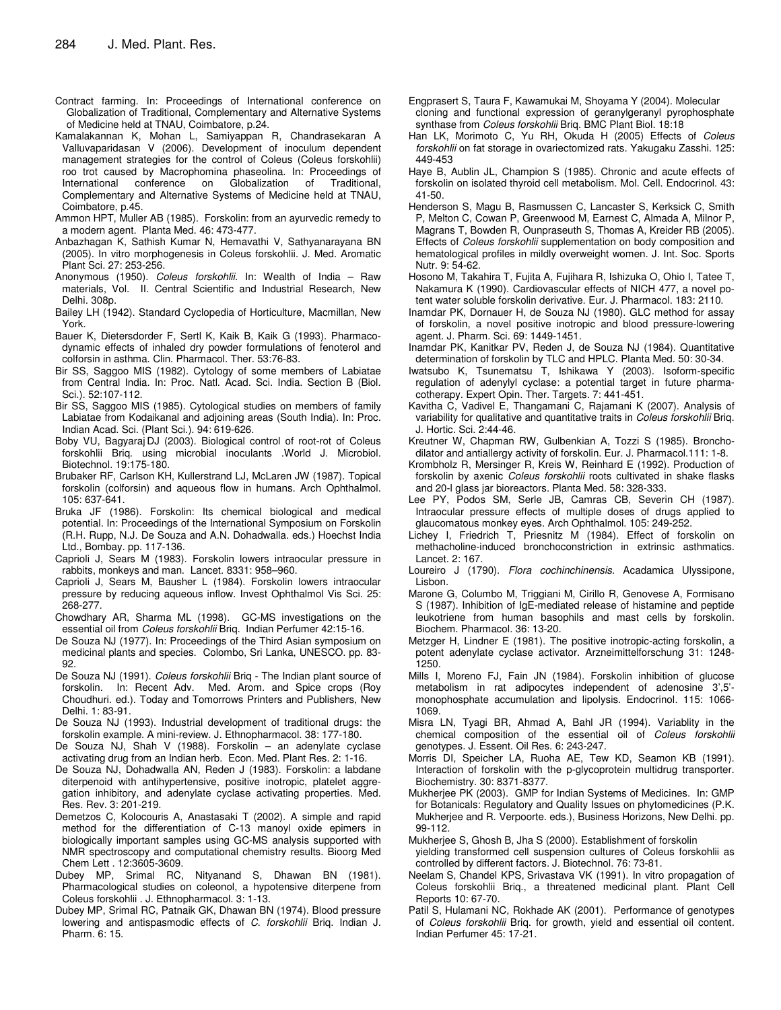- Contract farming. In: Proceedings of International conference on Globalization of Traditional, Complementary and Alternative Systems of Medicine held at TNAU, Coimbatore, p.24.
- Kamalakannan K, Mohan L, Samiyappan R, Chandrasekaran A Valluvaparidasan V (2006). Development of inoculum dependent management strategies for the control of Coleus (Coleus forskohlii) roo trot caused by Macrophomina phaseolina. In: Proceedings of International conference on Globalization of Traditional, Complementary and Alternative Systems of Medicine held at TNAU, Coimbatore, p.45.
- Ammon HPT, Muller AB (1985). Forskolin: from an ayurvedic remedy to a modern agent. Planta Med. 46: 473-477.
- Anbazhagan K, Sathish Kumar N, Hemavathi V, Sathyanarayana BN (2005). In vitro morphogenesis in Coleus forskohlii. J. Med. Aromatic Plant Sci. 27: 253-256.
- Anonymous (1950). *Coleus forskohlii*. In: Wealth of India Raw materials, Vol. II. Central Scientific and Industrial Research, New Delhi. 308p.
- Bailey LH (1942). Standard Cyclopedia of Horticulture, Macmillan, New York.
- Bauer K, Dietersdorder F, Sertl K, Kaik B, Kaik G (1993). Pharmacodynamic effects of inhaled dry powder formulations of fenoterol and colforsin in asthma. Clin. Pharmacol. Ther. 53:76-83.
- Bir SS, Saggoo MIS (1982). Cytology of some members of Labiatae from Central India. In: Proc. Natl. Acad. Sci. India. Section B (Biol. Sci.). 52:107-112.
- Bir SS, Saggoo MIS (1985). Cytological studies on members of family Labiatae from Kodaikanal and adjoining areas (South India). In: Proc. Indian Acad. Sci. (Plant Sci.). 94: 619-626.
- Boby VU, Bagyaraj DJ (2003). Biological control of root-rot of Coleus forskohlii Briq. using microbial inoculants .World J. Microbiol. Biotechnol*.* 19:175-180.
- Brubaker RF, Carlson KH, Kullerstrand LJ, McLaren JW (1987). Topical forskolin (colforsin) and aqueous flow in humans. Arch Ophthalmol. 105: 637-641.
- Bruka JF (1986). Forskolin: Its chemical biological and medical potential. In: Proceedings of the International Symposium on Forskolin (R.H. Rupp, N.J. De Souza and A.N. Dohadwalla. eds.) Hoechst India Ltd., Bombay. pp. 117-136.
- Caprioli J, Sears M (1983). Forskolin lowers intraocular pressure in rabbits, monkeys and man. Lancet. 8331: 958–960.
- Caprioli J, Sears M, Bausher L (1984). Forskolin lowers intraocular pressure by reducing aqueous inflow. Invest Ophthalmol Vis Sci. 25: 268-277.
- Chowdhary AR, Sharma ML (1998). GC-MS investigations on the essential oil from *Coleus forskohlii* Briq. Indian Perfumer 42:15-16.
- De Souza NJ (1977). In: Proceedings of the Third Asian symposium on medicinal plants and species. Colombo, Sri Lanka, UNESCO. pp. 83- 92.
- De Souza NJ (1991). *Coleus forskohlii* Briq The Indian plant source of forskolin. In: Recent Adv. Med. Arom. and Spice crops (Roy Choudhuri. ed.). Today and Tomorrows Printers and Publishers, New Delhi. 1: 83-91.
- De Souza NJ (1993). Industrial development of traditional drugs: the forskolin example. A mini-review. J. Ethnopharmacol. 38: 177-180.
- De Souza NJ, Shah V (1988). Forskolin an adenylate cyclase activating drug from an Indian herb. Econ. Med. Plant Res. 2: 1-16.
- De Souza NJ, Dohadwalla AN, Reden J (1983). Forskolin: a labdane diterpenoid with antihypertensive, positive inotropic, platelet aggregation inhibitory, and adenylate cyclase activating properties. Med. Res. Rev. 3: 201-219.
- Demetzos C, Kolocouris A, Anastasaki T (2002). A simple and rapid method for the differentiation of C-13 manoyl oxide epimers in biologically important samples using GC-MS analysis supported with NMR spectroscopy and computational chemistry results. Bioorg Med Chem Lett . 12:3605-3609.
- Dubey MP, Srimal RC, Nityanand S, Dhawan BN (1981). Pharmacological studies on coleonol, a hypotensive diterpene from Coleus forskohlii . J. Ethnopharmacol. 3: 1-13.
- Dubey MP, Srimal RC, Patnaik GK, Dhawan BN (1974). Blood pressure lowering and antispasmodic effects of *C. forskohlii* Briq. Indian J. Pharm. 6: 15.
- Engprasert S, Taura F, Kawamukai M, Shoyama Y (2004). Molecular cloning and functional expression of geranylgeranyl pyrophosphate synthase from *Coleus forskohlii* Briq. BMC Plant Biol. 18:18
- Han LK, Morimoto C, Yu RH, Okuda H (2005) Effects of *Coleus forskohlii* on fat storage in ovariectomized rats. Yakugaku Zasshi. 125: 449-453
- Haye B, Aublin JL, Champion S (1985). Chronic and acute effects of forskolin on isolated thyroid cell metabolism. Mol. Cell. Endocrinol. 43: 41-50.
- Henderson S, Magu B, Rasmussen C, Lancaster S, Kerksick C, Smith P, Melton C, Cowan P, Greenwood M, Earnest C, Almada A, Milnor P, Magrans T, Bowden R, Ounpraseuth S, Thomas A, Kreider RB (2005). Effects of *Coleus forskohlii* supplementation on body composition and hematological profiles in mildly overweight women. J. Int. Soc. Sports Nutr. 9: 54-62.
- Hosono M, Takahira T, Fujita A, Fujihara R, Ishizuka O, Ohio I, Tatee T, Nakamura K (1990). Cardiovascular effects of NICH 477, a novel potent water soluble forskolin derivative. Eur. J. Pharmacol. 183: 2110.
- Inamdar PK, Dornauer H, de Souza NJ (1980). GLC method for assay of forskolin, a novel positive inotropic and blood pressure-lowering agent. J. Pharm. Sci. 69: 1449-1451.
- Inamdar PK, Kanitkar PV, Reden J, de Souza NJ (1984). Quantitative determination of forskolin by TLC and HPLC. Planta Med. 50: 30-34.
- Iwatsubo K, Tsunematsu T, Ishikawa Y (2003). Isoform-specific regulation of adenylyl cyclase: a potential target in future pharmacotherapy. Expert Opin. Ther. Targets. 7: 441-451.
- Kavitha C, Vadivel E, Thangamani C, Rajamani K (2007). Analysis of variability for qualitative and quantitative traits in *Coleus forskohlii* Briq. J. Hortic. Sci. 2:44-46.
- Kreutner W, Chapman RW, Gulbenkian A, Tozzi S (1985). Bronchodilator and antiallergy activity of forskolin. Eur. J. Pharmacol.111: 1-8.
- Krombholz R, Mersinger R, Kreis W, Reinhard E (1992). Production of forskolin by axenic *Coleus forskohlii* roots cultivated in shake flasks and 20-l glass jar bioreactors. Planta Med. 58: 328-333.
- Lee PY, Podos SM, Serle JB, Camras CB, Severin CH (1987). Intraocular pressure effects of multiple doses of drugs applied to glaucomatous monkey eyes. Arch Ophthalmol. 105: 249-252.
- Lichey I, Friedrich T, Priesnitz M (1984). Effect of forskolin on methacholine-induced bronchoconstriction in extrinsic asthmatics. Lancet. 2: 167.
- Loureiro J (1790). *Flora cochinchinensis*. Acadamica Ulyssipone, Lisbon.
- Marone G, Columbo M, Triggiani M, Cirillo R, Genovese A, Formisano S (1987). Inhibition of IgE-mediated release of histamine and peptide leukotriene from human basophils and mast cells by forskolin. Biochem. Pharmacol. 36: 13-20.
- Metzger H, Lindner E (1981). The positive inotropic-acting forskolin, a potent adenylate cyclase activator. Arzneimittelforschung 31: 1248- 1250.
- Mills I, Moreno FJ, Fain JN (1984). Forskolin inhibition of glucose metabolism in rat adipocytes independent of adenosine 3',5' monophosphate accumulation and lipolysis. Endocrinol*.* 115: 1066- 1069.
- Misra LN, Tyagi BR, Ahmad A, Bahl JR (1994). Variablity in the chemical composition of the essential oil of *Coleus forskohlii* genotypes. J. Essent. Oil Res. 6: 243-247.
- Morris DI, Speicher LA, Ruoha AE, Tew KD, Seamon KB (1991). Interaction of forskolin with the p-glycoprotein multidrug transporter. Biochemistry. 30: 8371-8377.
- Mukherjee PK (2003). GMP for Indian Systems of Medicines. In: GMP for Botanicals: Regulatory and Quality Issues on phytomedicines (P.K. Mukherjee and R. Verpoorte. eds.), Business Horizons, New Delhi. pp. 99-112.
- Mukherjee S, Ghosh B, Jha S (2000). Establishment of forskolin
- yielding transformed cell suspension cultures of Coleus forskohlii as controlled by different factors. J. Biotechnol. 76: 73-81.
- Neelam S, Chandel KPS, Srivastava VK (1991). In vitro propagation of Coleus forskohlii Briq., a threatened medicinal plant. Plant Cell Reports 10: 67-70.
- Patil S, Hulamani NC, Rokhade AK (2001). Performance of genotypes of *Coleus forskohlii* Briq. for growth, yield and essential oil content. Indian Perfumer 45: 17-21.